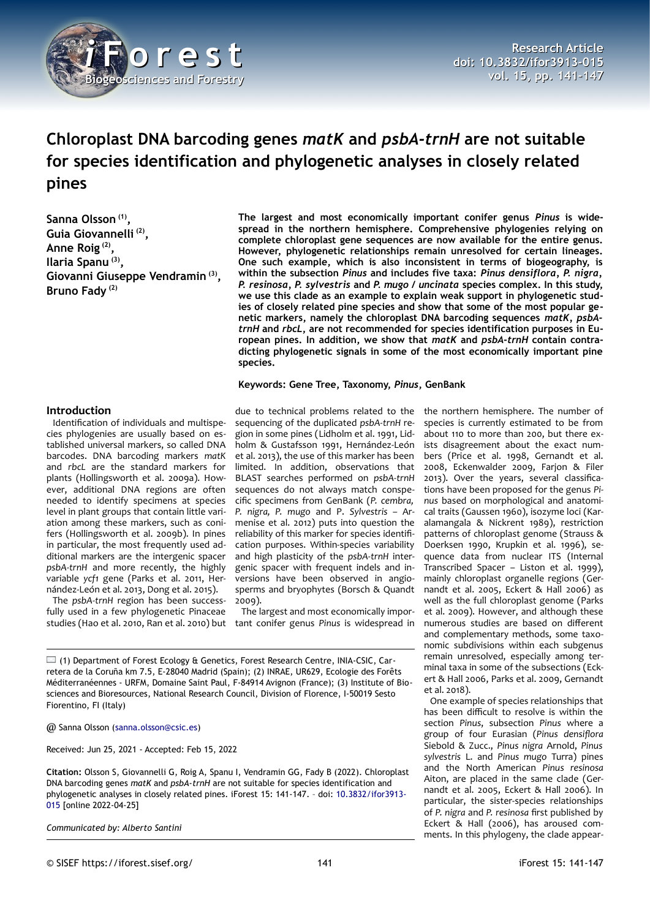

# **Chloroplast DNA barcoding genes** *matK* **and** *psbA-trnH* **are not suitable for species identification and phylogenetic analyses in closely related pines**

**Sanna Olsson (1) , Guia Giovannelli (2) , Anne Roig (2) , Ilaria Spanu (3) , Giovanni Giuseppe Vendramin (3) , Bruno Fady (2)**

**The largest and most economically important conifer genus** *Pinus* **is widespread in the northern hemisphere. Comprehensive phylogenies relying on complete chloroplast gene sequences are now available for the entire genus. However, phylogenetic relationships remain unresolved for certain lineages. One such example, which is also inconsistent in terms of biogeography, is within the subsection** *Pinus* **and includes five taxa:** *Pinus densiflora, P. nigra, P. resinosa, P. sylvestris* **and** *P. mugo / uncinata* **species complex. In this study, we use this clade as an example to explain weak support in phylogenetic studies of closely related pine species and show that some of the most popular genetic markers, namely the chloroplast DNA barcoding sequences** *matK, psbAtrnH* **and** *rbcL***, are not recommended for species identification purposes in European pines. In addition, we show that** *matK* **and** *psbA-trnH* **contain contradicting phylogenetic signals in some of the most economically important pine species.**

**Keywords: Gene Tree, Taxonomy,** *Pinus***, GenBank**

## **Introduction**

Identification of individuals and multispecies phylogenies are usually based on established universal markers, so called DNA barcodes. DNA barcoding markers *matK* and *rbcL* are the standard markers for plants (Hollingsworth et al. 2009a). However, additional DNA regions are often needed to identify specimens at species level in plant groups that contain little variation among these markers, such as conifers (Hollingsworth et al. 2009b). In pines in particular, the most frequently used additional markers are the intergenic spacer *psbA-trnH* and more recently, the highly variable *ycf1* gene (Parks et al. 2011, Hernández-León et al. 2013, Dong et al. 2015).

The *psbA-trnH* region has been successfully used in a few phylogenetic Pinaceae studies (Hao et al. 2010, Ran et al. 2010) but

due to technical problems related to the sequencing of the duplicated *psbA-trnH* region in some pines (Lidholm et al. 1991, Lidholm & Gustafsson 1991, Hernández-León et al. 2013), the use of this marker has been limited. In addition, observations that BLAST searches performed on *psbA-trnH* sequences do not always match conspecific specimens from GenBank (*P. cembra, P. nigra, P. mugo* and P. *Sylvestris –* Armenise et al. 2012) puts into question the reliability of this marker for species identification purposes. Within-species variability and high plasticity of the *psbA-trnH* intergenic spacer with frequent indels and inversions have been observed in angiosperms and bryophytes (Borsch & Quandt 2009).

The largest and most economically important conifer genus *Pinus* is widespread in

(1) Department of Forest Ecology & Genetics, Forest Research Centre, INIA-CSIC, Carretera de la Coruña km 7.5, E-28040 Madrid (Spain); (2) INRAE, UR629, Ecologie des Forêts Méditerranéennes - URFM, Domaine Saint Paul, F-84914 Avignon (France); (3) Institute of Biosciences and Bioresources, National Research Council, Division of Florence, I-50019 Sesto Fiorentino, FI (Italy)

@ Sanna Olsson [\(sanna.olsson@csic.es\)](mailto:sanna.olsson@csic.es)

Received: Jun 25, 2021 - Accepted: Feb 15, 2022

**Citation:** Olsson S, Giovannelli G, Roig A, Spanu I, Vendramin GG, Fady B (2022). Chloroplast DNA barcoding genes *matK* and *psbA-trnH* are not suitable for species identification and phylogenetic analyses in closely related pines. iForest 15: 141-147. – doi: [10.3832/ifor3913-](http://www.sisef.it/iforest/contents/?id=ifor3913-015) [015](http://www.sisef.it/iforest/contents/?id=ifor3913-015) [online 2022-04-25]

*Communicated by: Alberto Santini*

the northern hemisphere. The number of species is currently estimated to be from about 110 to more than 200, but there exists disagreement about the exact numbers (Price et al. 1998, Gernandt et al. 2008, Eckenwalder 2009, Farjon & Filer 2013). Over the years, several classifications have been proposed for the genus *Pinus* based on morphological and anatomical traits (Gaussen 1960), isozyme loci (Karalamangala & Nickrent 1989), restriction patterns of chloroplast genome (Strauss & Doerksen 1990, Krupkin et al. 1996), sequence data from nuclear ITS (Internal Transcribed Spacer – Liston et al. 1999), mainly chloroplast organelle regions (Gernandt et al. 2005, Eckert & Hall 2006) as well as the full chloroplast genome (Parks et al. 2009). However, and although these numerous studies are based on different and complementary methods, some taxonomic subdivisions within each subgenus remain unresolved, especially among terminal taxa in some of the subsections (Eckert & Hall 2006, Parks et al. 2009, Gernandt et al. 2018).

One example of species relationships that has been difficult to resolve is within the section *Pinus*, subsection *Pinus* where a group of four Eurasian (*Pinus densiflora* Siebold & Zucc., *Pinus nigra* Arnold, *Pinus sylvestris* L. and *Pinus mugo* Turra) pines and the North American *Pinus resinosa* Aiton, are placed in the same clade (Gernandt et al. 2005, Eckert & Hall 2006). In particular, the sister-species relationships of *P. nigra* and *P. resinosa* first published by Eckert & Hall (2006), has aroused comments. In this phylogeny, the clade appear-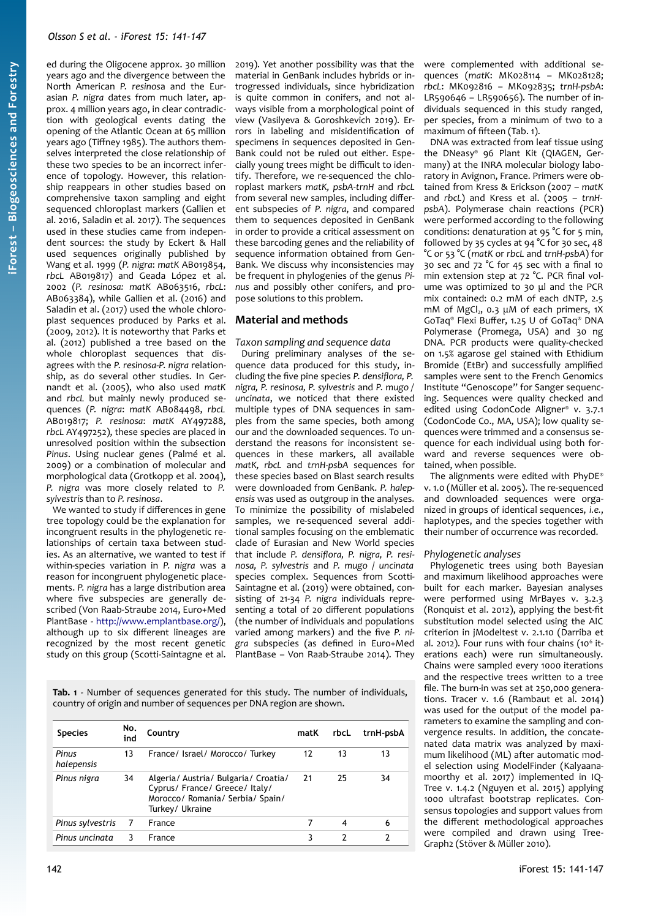ed during the Oligocene approx. 30 million years ago and the divergence between the North American *P. resinos*a and the Eurasian *P. nigra* dates from much later, approx. 4 million years ago, in clear contradiction with geological events dating the opening of the Atlantic Ocean at 65 million years ago (Tiffney 1985). The authors themselves interpreted the close relationship of these two species to be an incorrect inference of topology. However, this relationship reappears in other studies based on comprehensive taxon sampling and eight sequenced chloroplast markers (Gallien et al. 2016, Saladin et al. 2017). The sequences used in these studies came from independent sources: the study by Eckert & Hall used sequences originally published by Wang et al. 1999 (*P. nigra*: *matK* AB019854, *rbcL* AB019817) and Geada López et al. 2002 (*P. resinosa: matK* AB063516, *rbcL*: AB063384), while Gallien et al. (2016) and Saladin et al. (2017) used the whole chloroplast sequences produced by Parks et al. (2009, 2012). It is noteworthy that Parks et al. (2012) published a tree based on the whole chloroplast sequences that disagrees with the *P. resinosa-P. nigra* relationship, as do several other studies. In Gernandt et al. (2005), who also used *matK* and *rbcL* but mainly newly produced sequences (*P. nigra*: *matK* AB084498, *rbcL* AB019817; *P. resinosa*: *matK* AY497288, *rbcL* AY497252), these species are placed in unresolved position within the subsection *Pinus*. Using nuclear genes (Palmé et al. 2009) or a combination of molecular and morphological data (Grotkopp et al. 2004), *P. nigra* was more closely related to *P. sylvestris* than to *P. resinosa*.

We wanted to study if differences in gene tree topology could be the explanation for incongruent results in the phylogenetic relationships of certain taxa between studies. As an alternative, we wanted to test if within-species variation in *P. nigra* was a reason for incongruent phylogenetic placements. *P. nigra* has a large distribution area where five subspecies are generally described (Von Raab-Straube 2014, Euro+Med PlantBase - [http://www.emplantbase.org/\)](http://www.emplantbase.org/), although up to six different lineages are recognized by the most recent genetic study on this group (Scotti-Saintagne et al.

2019). Yet another possibility was that the material in GenBank includes hybrids or introgressed individuals, since hybridization is quite common in conifers, and not always visible from a morphological point of view (Vasilyeva & Goroshkevich 2019). Errors in labeling and misidentification of specimens in sequences deposited in Gen-Bank could not be ruled out either. Especially young trees might be difficult to identify. Therefore, we re-sequenced the chloroplast markers *matK, psbA-trnH* and *rbcL* from several new samples, including different subspecies of *P. nigra*, and compared them to sequences deposited in GenBank in order to provide a critical assessment on these barcoding genes and the reliability of sequence information obtained from Gen-Bank. We discuss why inconsistencies may be frequent in phylogenies of the genus *Pinus* and possibly other conifers, and propose solutions to this problem.

## **Material and methods**

*Taxon sampling and sequence data*

During preliminary analyses of the sequence data produced for this study, including the five pine species *P. densiflora, P. nigra, P. resinosa, P. sylvestris* and *P. mugo / uncinata*, we noticed that there existed multiple types of DNA sequences in samples from the same species, both among our and the downloaded sequences. To understand the reasons for inconsistent sequences in these markers, all available *matK, rbcL* and *trnH-psbA* sequences for these species based on Blast search results were downloaded from GenBank. *P. halepensis* was used as outgroup in the analyses. To minimize the possibility of mislabeled samples, we re-sequenced several additional samples focusing on the emblematic clade of Eurasian and New World species that include *P. densiflora, P. nigra, P. resinosa, P. sylvestris* and *P. mugo* / *uncinata* species complex. Sequences from Scotti-Saintagne et al. (2019) were obtained, consisting of 21-34 *P. nigra* individuals representing a total of 20 different populations (the number of individuals and populations varied among markers) and the five *P. nigra* subspecies (as defined in Euro+Med PlantBase – Von Raab-Straube 2014). They

<span id="page-1-0"></span>**Tab. 1** - Number of sequences generated for this study. The number of individuals, country of origin and number of sequences per DNA region are shown.

| <b>Species</b>      | No.<br>ind     | Country                                                                                                                       | matK | rbcL | trnH-psbA |
|---------------------|----------------|-------------------------------------------------------------------------------------------------------------------------------|------|------|-----------|
| Pinus<br>halepensis | 13             | France/ Israel/ Morocco/ Turkey                                                                                               | 12   | 13   | 13        |
| Pinus nigra         | 34             | Algeria/ Austria/ Bulgaria/ Croatia/<br>Cyprus/ France/ Greece/ Italy/<br>Morocco/ Romania/ Serbia/ Spain/<br>Turkey/ Ukraine | 21   | 25   | 34        |
| Pinus sylvestris    | $\overline{7}$ | France                                                                                                                        |      | 4    | 6         |
| Pinus uncinata      | 3              | France                                                                                                                        | 3    |      |           |

were complemented with additional sequences (*matK*: MK028114 – MK028128; *rbcL*: MK092816 – MK092835; *trnH-psbA*: LR590646 – LR590656). The number of individuals sequenced in this study ranged, per species, from a minimum of two to a maximum of fifteen [\(Tab. 1\)](#page-1-0).

DNA was extracted from leaf tissue using the DNeasy® 96 Plant Kit (QIAGEN, Germany) at the INRA molecular biology laboratory in Avignon, France. Primers were obtained from Kress & Erickson (2007 – *matK* and *rbcL*) and Kress et al. (2005 – *trnHpsbA*). Polymerase chain reactions (PCR) were performed according to the following conditions: denaturation at 95 °C for 5 min, followed by 35 cycles at 94 °C for 30 sec, 48 °C or 53 °C (*matK* or *rbcL* and *trnH-psbA*) for 30 sec and 72 °C for 45 sec with a final 10 min extension step at 72 °C. PCR final volume was optimized to 30 μl and the PCR mix contained: 0.2 mM of each dNTP, 2.5 mM of MgCl<sub>2</sub>, o.3 μM of each primers, 1X GoTaq® Flexi Buffer, 1.25 U of GoTaq® DNA Polymerase (Promega, USA) and 30 ng DNA. PCR products were quality-checked on 1.5% agarose gel stained with Ethidium Bromide (EtBr) and successfully amplified samples were sent to the French Genomics Institute "Genoscope" for Sanger sequencing. Sequences were quality checked and edited using CodonCode Aligner® v. 3.7.1 (CodonCode Co., MA, USA); low quality sequences were trimmed and a consensus sequence for each individual using both forward and reverse sequences were obtained, when possible.

The alignments were edited with PhyDE® v. 1.0 (Müller et al. 2005). The re-sequenced and downloaded sequences were organized in groups of identical sequences, *i.e.*, haplotypes, and the species together with their number of occurrence was recorded.

#### *Phylogenetic analyses*

Phylogenetic trees using both Bayesian and maximum likelihood approaches were built for each marker. Bayesian analyses were performed using MrBayes v. 3.2.3 (Ronquist et al. 2012), applying the best-fit substitution model selected using the AIC criterion in jModeltest v. 2.1.10 (Darriba et al. 2012). Four runs with four chains (10<sup>6</sup> iterations each) were run simultaneously. Chains were sampled every 1000 iterations and the respective trees written to a tree file. The burn-in was set at 250,000 generations. Tracer v. 1.6 (Rambaut et al. 2014) was used for the output of the model parameters to examine the sampling and convergence results. In addition, the concatenated data matrix was analyzed by maximum likelihood (ML) after automatic model selection using ModelFinder (Kalyaanamoorthy et al. 2017) implemented in IQ-Tree v. 1.4.2 (Nguyen et al. 2015) applying 1000 ultrafast bootstrap replicates. Consensus topologies and support values from the different methodological approaches were compiled and drawn using Tree-Graph2 (Stöver & Müller 2010).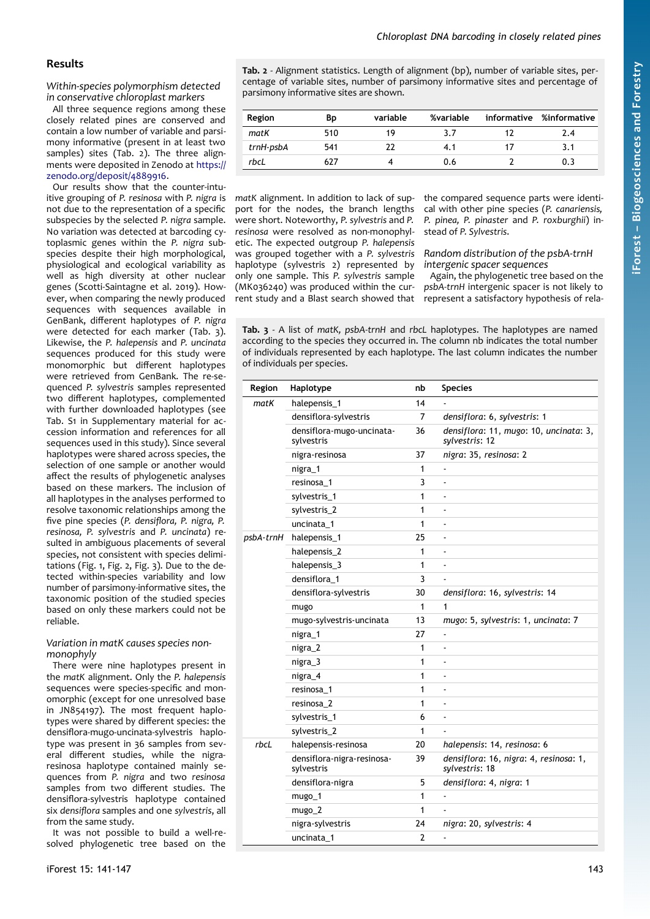## **Results**

*Within-species polymorphism detected in conservative chloroplast markers*

All three sequence regions among these closely related pines are conserved and contain a low number of variable and parsimony informative (present in at least two samples) sites ([Tab. 2](#page-2-1)). The three alignments were deposited in Zenodo at [https://](https://zenodo.org/deposit/4889916) [zenodo.org/deposit/4889916.](https://zenodo.org/deposit/4889916)

Our results show that the counter-intuitive grouping of *P. resinosa* with *P. nigra* is not due to the representation of a specific subspecies by the selected *P. nigra* sample. No variation was detected at barcoding cytoplasmic genes within the *P. nigra* subspecies despite their high morphological, physiological and ecological variability as well as high diversity at other nuclear genes (Scotti-Saintagne et al. 2019). However, when comparing the newly produced sequences with sequences available in GenBank, different haplotypes of *P. nigra* were detected for each marker ([Tab. 3\)](#page-2-0). Likewise, the *P. halepensis* and *P. uncinata* sequences produced for this study were monomorphic but different haplotypes were retrieved from GenBank. The re-sequenced *P. sylvestris* samples represented two different haplotypes, complemented with further downloaded haplotypes (see Tab. S1 in Supplementary material for accession information and references for all sequences used in this study). Since several haplotypes were shared across species, the selection of one sample or another would affect the results of phylogenetic analyses based on these markers. The inclusion of all haplotypes in the analyses performed to resolve taxonomic relationships among the five pine species (*P. densiflora, P. nigra, P. resinosa, P. sylvestris* and *P. uncinata*) resulted in ambiguous placements of several species, not consistent with species delimitations ([Fig. 1,](#page-3-2) [Fig. 2,](#page-3-1) [Fig. 3\)](#page-3-0). Due to the detected within-species variability and low number of parsimony-informative sites, the taxonomic position of the studied species based on only these markers could not be reliable.

#### *Variation in matK causes species nonmonophyly*

There were nine haplotypes present in the *matK* alignment. Only the *P. halepensis* sequences were species-specific and monomorphic (except for one unresolved base in JN854197). The most frequent haplotypes were shared by different species: the densiflora-mugo-uncinata-sylvestris haplotype was present in 36 samples from several different studies, while the nigraresinosa haplotype contained mainly sequences from *P. nigra* and two *resinosa* samples from two different studies. The densiflora-sylvestris haplotype contained six *densiflora* samples and one *sylvestris*, all from the same study.

It was not possible to build a well-resolved phylogenetic tree based on the <span id="page-2-1"></span>**Tab. 2** - Alignment statistics. Length of alignment (bp), number of variable sites, percentage of variable sites, number of parsimony informative sites and percentage of parsimony informative sites are shown.

| Region    | Вp  | variable | %variable | informative | %informative |
|-----------|-----|----------|-----------|-------------|--------------|
| matK      | 510 | 19       | 3.7       |             | 2.4          |
| trnH-psbA | 541 |          | 4.1       |             | 3.1          |
| rbcL      | 627 |          | 0.6       |             | 0.3          |

*matK* alignment. In addition to lack of support for the nodes, the branch lengths were short. Noteworthy, *P. sylvestris* and *P. resinosa* were resolved as non-monophyletic. The expected outgroup *P. halepensis* was grouped together with a *P. sylvestris* haplotype (sylvestris 2) represented by only one sample. This *P. sylvestris* sample (MK036240) was produced within the current study and a Blast search showed that

the compared sequence parts were identical with other pine species (*P. canariensis, P. pinea, P. pinaster* and *P. roxburghii*) instead of *P. Sylvestris*.

#### *Random distribution of the psbA-trnH intergenic spacer sequences*

Again, the phylogenetic tree based on the *psbA-trnH* intergenic spacer is not likely to represent a satisfactory hypothesis of rela-

<span id="page-2-0"></span>**Tab. 3** - A list of *matK, psbA-trnH* and *rbcL* haplotypes. The haplotypes are named according to the species they occurred in. The column nb indicates the total number of individuals represented by each haplotype. The last column indicates the number of individuals per species.

| Region    | Haplotype                                | nb             | <b>Species</b>                                           |
|-----------|------------------------------------------|----------------|----------------------------------------------------------|
| matK      | halepensis_1                             | 14             |                                                          |
|           | densiflora-sylvestris                    | 7              | densiflora: 6, sylvestris: 1                             |
|           | densiflora-mugo-uncinata-<br>sylvestris  | 36             | densiflora: 11, mugo: 10, uncinata: 3,<br>sylvestris: 12 |
|           | nigra-resinosa                           | 37             | nigra: 35, resinosa: 2                                   |
|           | nigra_1                                  | 1              | ä,                                                       |
|           | resinosa 1                               | 3              | L,                                                       |
|           | sylvestris_1                             | 1              |                                                          |
|           | sylvestris_2                             | 1              |                                                          |
|           | uncinata 1                               | 1              |                                                          |
| psbA-trnH | halepensis_1                             | 25             |                                                          |
|           | halepensis_2                             | 1              |                                                          |
|           | halepensis_3                             | 1              |                                                          |
|           | densiflora_1                             | 3              |                                                          |
|           | densiflora-sylvestris                    | 30             | densiflora: 16, sylvestris: 14                           |
|           | mugo                                     | 1              | 1                                                        |
|           | mugo-sylvestris-uncinata                 | 13             | mugo: 5, sylvestris: 1, uncinata: 7                      |
|           | nigra_1                                  | 27             |                                                          |
|           | nigra_2                                  | 1              |                                                          |
|           | nigra_3                                  | 1              |                                                          |
|           | nigra_4                                  | 1              |                                                          |
|           | resinosa 1                               | 1              |                                                          |
|           | resinosa 2                               | 1              | Ĭ.                                                       |
|           | sylvestris_1                             | 6              | ä,                                                       |
|           | sylvestris_2                             | 1              |                                                          |
| rbcL      | halepensis-resinosa                      | 20             | halepensis: 14, resinosa: 6                              |
|           | densiflora-nigra-resinosa-<br>sylvestris | 39             | densiflora: 16, nigra: 4, resinosa: 1,<br>sylvestris: 18 |
|           | densiflora-nigra                         | 5              | densiflora: 4, nigra: 1                                  |
|           | mugo_1                                   | 1              |                                                          |
|           | mugo_2                                   | 1              |                                                          |
|           | nigra-sylvestris                         | 24             | nigra: 20, sylvestris: 4                                 |
|           | uncinata 1                               | $\overline{2}$ | ä,                                                       |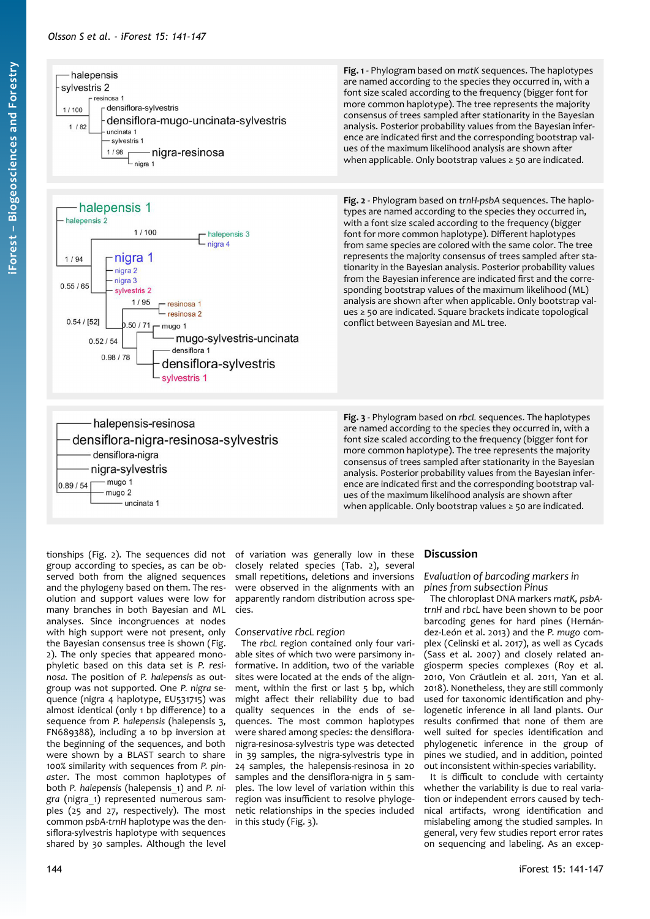





densiflora-nigra-resinosa-sylvestris

<span id="page-3-2"></span>**Fig. 1** - Phylogram based on *matK* sequences. The haplotypes are named according to the species they occurred in, with a font size scaled according to the frequency (bigger font for more common haplotype). The tree represents the majority consensus of trees sampled after stationarity in the Bayesian analysis. Posterior probability values from the Bayesian inference are indicated first and the corresponding bootstrap values of the maximum likelihood analysis are shown after when applicable. Only bootstrap values ≥ 50 are indicated.

<span id="page-3-1"></span>**Fig. 2** - Phylogram based on *trnH-psbA* sequences. The haplotypes are named according to the species they occurred in, with a font size scaled according to the frequency (bigger font for more common haplotype). Different haplotypes from same species are colored with the same color. The tree represents the majority consensus of trees sampled after stationarity in the Bayesian analysis. Posterior probability values from the Bayesian inference are indicated first and the corresponding bootstrap values of the maximum likelihood (ML) analysis are shown after when applicable. Only bootstrap values ≥ 50 are indicated. Square brackets indicate topological conflict between Bayesian and ML tree.

<span id="page-3-0"></span>**Fig. 3** - Phylogram based on *rbcL* sequences. The haplotypes are named according to the species they occurred in, with a font size scaled according to the frequency (bigger font for more common haplotype). The tree represents the majority consensus of trees sampled after stationarity in the Bayesian analysis. Posterior probability values from the Bayesian inference are indicated first and the corresponding bootstrap values of the maximum likelihood analysis are shown after when applicable. Only bootstrap values ≥ 50 are indicated.

tionships [\(Fig. 2](#page-3-1)). The sequences did not group according to species, as can be observed both from the aligned sequences and the phylogeny based on them. The resolution and support values were low for many branches in both Bayesian and ML analyses. Since incongruences at nodes with high support were not present, only the Bayesian consensus tree is shown [\(Fig.](#page-3-1) [2\)](#page-3-1). The only species that appeared monophyletic based on this data set is *P. resinosa*. The position of *P. halepensis* as outgroup was not supported. One *P. nigra* sequence (nigra 4 haplotype, EU531715) was almost identical (only 1 bp difference) to a sequence from *P. halepensis* (halepensis 3, FN689388), including a 10 bp inversion at the beginning of the sequences, and both were shown by a BLAST search to share 100% similarity with sequences from *P. pinaster*. The most common haplotypes of both *P. halepensis* (halepensis\_1) and *P. nigra* (nigra\_1) represented numerous samples (25 and 27, respectively). The most common *psbA-trnH* haplotype was the densiflora-sylvestris haplotype with sequences shared by 30 samples. Although the level

halepensis-resinosa

- uncinata 1

densiflora-nigra nigra-sylvestris  $-mu$ go 1

mugo 2

0.89/54

of variation was generally low in these closely related species ([Tab. 2\)](#page-2-1), several small repetitions, deletions and inversions were observed in the alignments with an apparently random distribution across species.

## *Conservative rbcL region*

The *rbcL* region contained only four variable sites of which two were parsimony informative. In addition, two of the variable sites were located at the ends of the alignment, within the first or last 5 bp, which might affect their reliability due to bad quality sequences in the ends of sequences. The most common haplotypes were shared among species: the densifloranigra-resinosa-sylvestris type was detected in 39 samples, the nigra-sylvestris type in 24 samples, the halepensis-resinosa in 20 samples and the densiflora-nigra in 5 samples. The low level of variation within this region was insufficient to resolve phylogenetic relationships in the species included in this study [\(Fig. 3](#page-3-0)).

## **Discussion**

*Evaluation of barcoding markers in pines from subsection Pinus*

The chloroplast DNA markers *matK, psbAtrnH* and *rbcL* have been shown to be poor barcoding genes for hard pines (Hernández-León et al. 2013) and the *P. mugo* complex (Celinski et al. 2017), as well as Cycads (Sass et al. 2007) and closely related angiosperm species complexes (Roy et al. 2010, Von Cräutlein et al. 2011, Yan et al. 2018). Nonetheless, they are still commonly used for taxonomic identification and phylogenetic inference in all land plants. Our results confirmed that none of them are well suited for species identification and phylogenetic inference in the group of pines we studied, and in addition, pointed out inconsistent within-species variability.

It is difficult to conclude with certainty whether the variability is due to real variation or independent errors caused by technical artifacts, wrong identification and mislabeling among the studied samples. In general, very few studies report error rates on sequencing and labeling. As an excep-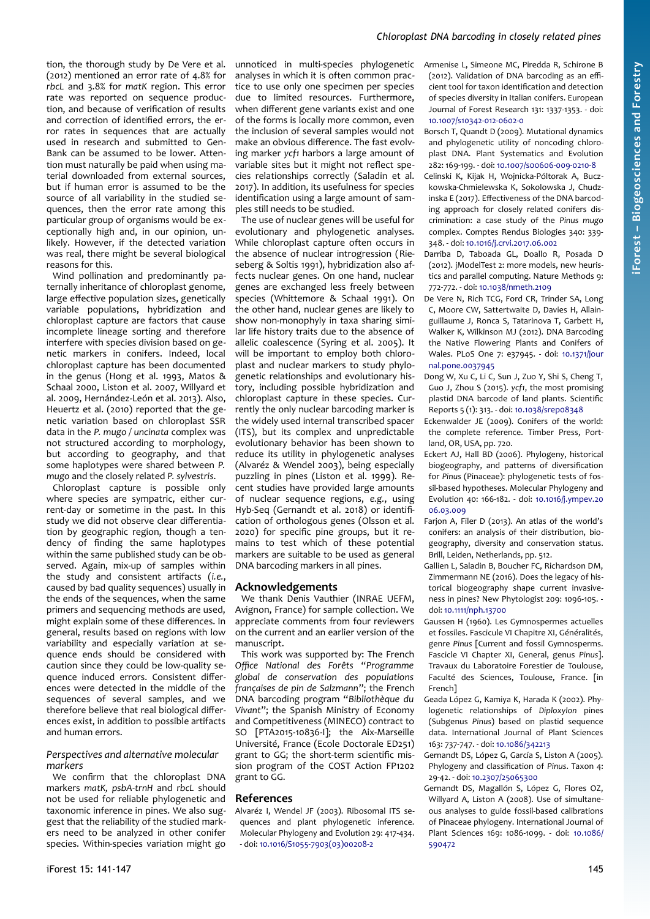tion, the thorough study by De Vere et al. (2012) mentioned an error rate of 4.8% for *rbcL* and 3.8% for *matK* region. This error rate was reported on sequence production, and because of verification of results and correction of identified errors, the error rates in sequences that are actually used in research and submitted to Gen-Bank can be assumed to be lower. Attention must naturally be paid when using material downloaded from external sources, but if human error is assumed to be the source of all variability in the studied sequences, then the error rate among this particular group of organisms would be exceptionally high and, in our opinion, unlikely. However, if the detected variation was real, there might be several biological reasons for this.

Wind pollination and predominantly paternally inheritance of chloroplast genome, large effective population sizes, genetically variable populations, hybridization and chloroplast capture are factors that cause incomplete lineage sorting and therefore interfere with species division based on genetic markers in conifers. Indeed, local chloroplast capture has been documented in the genus (Hong et al. 1993, Matos & Schaal 2000, Liston et al. 2007, Willyard et al. 2009, Hernández-León et al. 2013). Also, Heuertz et al. (2010) reported that the genetic variation based on chloroplast SSR data in the *P. mugo / uncinata* complex was not structured according to morphology, but according to geography, and that some haplotypes were shared between *P. mugo* and the closely related *P. sylvestris*.

Chloroplast capture is possible only where species are sympatric, either current-day or sometime in the past. In this study we did not observe clear differentiation by geographic region, though a tendency of finding the same haplotypes within the same published study can be observed. Again, mix-up of samples within the study and consistent artifacts (*i.e.*, caused by bad quality sequences) usually in the ends of the sequences, when the same primers and sequencing methods are used, might explain some of these differences. In general, results based on regions with low variability and especially variation at sequence ends should be considered with caution since they could be low-quality sequence induced errors. Consistent differences were detected in the middle of the sequences of several samples, and we therefore believe that real biological differences exist, in addition to possible artifacts and human errors.

#### *Perspectives and alternative molecular markers*

We confirm that the chloroplast DNA markers *matK, psbA-trnH* and *rbcL* should not be used for reliable phylogenetic and taxonomic inference in pines. We also suggest that the reliability of the studied markers need to be analyzed in other conifer species. Within-species variation might go

unnoticed in multi-species phylogenetic analyses in which it is often common practice to use only one specimen per species due to limited resources. Furthermore, when different gene variants exist and one of the forms is locally more common, even the inclusion of several samples would not make an obvious difference. The fast evolving marker *ycf1* harbors a large amount of variable sites but it might not reflect species relationships correctly (Saladin et al. 2017). In addition, its usefulness for species identification using a large amount of samples still needs to be studied.

The use of nuclear genes will be useful for evolutionary and phylogenetic analyses. While chloroplast capture often occurs in the absence of nuclear introgression (Rieseberg & Soltis 1991), hybridization also affects nuclear genes. On one hand, nuclear genes are exchanged less freely between species (Whittemore & Schaal 1991). On the other hand, nuclear genes are likely to show non-monophyly in taxa sharing similar life history traits due to the absence of allelic coalescence (Syring et al. 2005). It will be important to employ both chloroplast and nuclear markers to study phylogenetic relationships and evolutionary history, including possible hybridization and chloroplast capture in these species. Currently the only nuclear barcoding marker is the widely used internal transcribed spacer (ITS), but its complex and unpredictable evolutionary behavior has been shown to reduce its utility in phylogenetic analyses (Alvaréz & Wendel 2003), being especially puzzling in pines (Liston et al. 1999). Recent studies have provided large amounts of nuclear sequence regions, *e.g.*, using Hyb-Seq (Gernandt et al. 2018) or identification of orthologous genes (Olsson et al. 2020) for specific pine groups, but it remains to test which of these potential markers are suitable to be used as general DNA barcoding markers in all pines.

## **Acknowledgements**

We thank Denis Vauthier (INRAE UEFM, Avignon, France) for sample collection. We appreciate comments from four reviewers on the current and an earlier version of the manuscript.

This work was supported by: The French *Office National des Forêts* "*Programme global de conservation des populations françaises de pin de Salzmann*"; the French DNA barcoding program "*Bibliothèque du Vivant*"; the Spanish Ministry of Economy and Competitiveness (MINECO) contract to SO [PTA2015-10836-I]; the Aix-Marseille Université, France (Ecole Doctorale ED251) grant to GG; the short-term scientific mission program of the COST Action FP1202 grant to GG.

## **References**

Alvaréz I, Wendel JF (2003). Ribosomal ITS sequences and plant phylogenetic inference. Molecular Phylogeny and Evolution 29: 417-434. - doi: [10.1016/S1055-7903\(03\)00208-2](https://doi.org/10.1016/S1055-7903(03)00208-2)

Armenise L, Simeone MC, Piredda R, Schirone B (2012). Validation of DNA barcoding as an efficient tool for taxon identification and detection of species diversity in Italian conifers. European Journal of Forest Research 131: 1337-1353. - doi: [10.1007/s10342-012-0602-0](https://doi.org/10.1007/s10342-012-0602-0)

Borsch T, Quandt D (2009). Mutational dynamics and phylogenetic utility of noncoding chloroplast DNA. Plant Systematics and Evolution 282: 169-199. - doi: [10.1007/s00606-009-0210-8](https://doi.org/10.1007/s00606-009-0210-8)

- Celinski K, Kijak H, Wojnicka-Póltorak A, Buczkowska-Chmielewska K, Sokolowska J, Chudzinska E (2017). Effectiveness of the DNA barcoding approach for closely related conifers discrimination: a case study of the *Pinus mugo* complex. Comptes Rendus Biologies 340: 339- 348. - doi: [10.1016/j.crvi.2017.06.002](https://doi.org/10.1016/j.crvi.2017.06.002)
- Darriba D, Taboada GL, Doallo R, Posada D (2012). jModelTest 2: more models, new heuristics and parallel computing. Nature Methods 9: 772-772. - doi: [10.1038/nmeth.2109](https://doi.org/10.1038/nmeth.2109)

De Vere N, Rich TCG, Ford CR, Trinder SA, Long C, Moore CW, Sattertwaite D, Davies H, Allainguillaume J, Ronca S, Tatarinova T, Garbett H, Walker K, Wilkinson MJ (2012). DNA Barcoding the Native Flowering Plants and Conifers of Wales. PLoS One 7: e37945. - doi: [10.1371/jour](https://doi.org/10.1371/journal.pone.0037945) [nal.pone.0037945](https://doi.org/10.1371/journal.pone.0037945)

- Dong W, Xu C, Li C, Sun J, Zuo Y, Shi S, Cheng T, Guo J, Zhou S (2015). *ycf1*, the most promising plastid DNA barcode of land plants. Scientific Reports 5 (1): 313. - doi: [10.1038/srep08348](https://doi.org/10.1038/srep08348)
- Eckenwalder JE (2009). Conifers of the world: the complete reference. Timber Press, Portland, OR, USA, pp. 720.
- Eckert AJ, Hall BD (2006). Phylogeny, historical biogeography, and patterns of diversification for *Pinus* (Pinaceae): phylogenetic tests of fossil-based hypotheses. Molecular Phylogeny and Evolution 40: 166-182. - doi: [10.1016/j.ympev.20](https://doi.org/10.1016/j.ympev.2006.03.009) [06.03.009](https://doi.org/10.1016/j.ympev.2006.03.009)
- Farjon A, Filer D (2013). An atlas of the world's conifers: an analysis of their distribution, biogeography, diversity and conservation status. Brill, Leiden, Netherlands, pp. 512.
- Gallien L, Saladin B, Boucher FC, Richardson DM, Zimmermann NE (2016). Does the legacy of historical biogeography shape current invasiveness in pines? New Phytologist 209: 1096-105. doi: [10.1111/nph.13700](https://doi.org/10.1111/nph.13700)
- Gaussen H (1960). Les Gymnospermes actuelles et fossiles. Fascicule VI Chapitre XI, Généralités, genre *Pinus* [Current and fossil Gymnosperms. Fascicle VI Chapter XI, General, genus *Pinus*]. Travaux du Laboratoire Forestier de Toulouse, Faculté des Sciences, Toulouse, France. [in French]
- Geada López G, Kamiya K, Harada K (2002). Phylogenetic relationships of *Diploxylon* pines (Subgenus *Pinus*) based on plastid sequence data. International Journal of Plant Sciences 163: 737-747. - doi: [10.1086/342213](https://doi.org/10.1086/342213)
- Gernandt DS, López G, García S, Liston A (2005). Phylogeny and classification of *Pinus*. Taxon 4: 29-42. - doi: [10.2307/25065300](https://doi.org/10.2307/25065300)
- Gernandt DS, Magallón S, López G, Flores OZ, Willyard A, Liston A (2008). Use of simultaneous analyses to guide fossil-based calibrations of Pinaceae phylogeny. International Journal of Plant Sciences 169: 1086-1099. - doi: [10.1086/](https://doi.org/10.1086/590472) [590472](https://doi.org/10.1086/590472)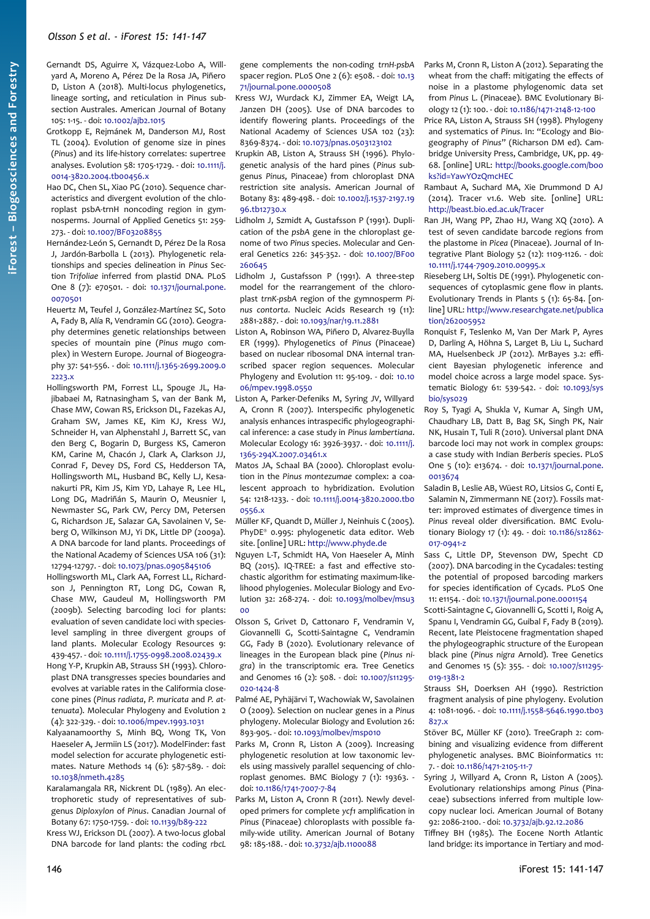Gernandt DS, Aguirre X, Vázquez-Lobo A, Willyard A, Moreno A, Pérez De la Rosa JA, Piñero D, Liston A (2018). Multi-locus phylogenetics, lineage sorting, and reticulation in Pinus subsection Australes. American Journal of Botany 105: 1-15. - doi: [10.1002/ajb2.1015](https://doi.org/10.1002/ajb2.1015)

Grotkopp E, Rejmánek M, Danderson MJ, Rost TL (2004). Evolution of genome size in pines (*Pinus*) and its life-history correlates: supertree analyses. Evolution 58: 1705-1729. - doi: [10.1111/j.](https://doi.org/10.1111/j.0014-3820.2004.tb00456.x) [0014-3820.2004.tb00456.x](https://doi.org/10.1111/j.0014-3820.2004.tb00456.x)

Hao DC, Chen SL, Xiao PG (2010). Sequence characteristics and divergent evolution of the chloroplast psbA-trnH noncoding region in gymnosperms. Journal of Applied Genetics 51: 259- 273. - doi: [10.1007/BF03208855](https://doi.org/10.1007/BF03208855)

- Hernández-León S, Gernandt D, Pérez De la Rosa J, Jardón-Barbolla L (2013). Phylogenetic relationships and species delineation in *Pinus* Section *Trifoliae* inferred from plastid DNA. PLoS One 8 (7): e70501. - doi: [10.1371/journal.pone.](https://doi.org/10.1371/journal.pone.0070501) [0070501](https://doi.org/10.1371/journal.pone.0070501)
- Heuertz M, Teufel J, González-Martínez SC, Soto A, Fady B, Alía R, Vendramin GG (2010). Geography determines genetic relationships between species of mountain pine (*Pinus mugo* complex) in Western Europe. Journal of Biogeography 37: 541-556. - doi: [10.1111/j.1365-2699.2009.0](https://doi.org/10.1111/j.1365-2699.2009.02223.x) [2223.x](https://doi.org/10.1111/j.1365-2699.2009.02223.x)
- Hollingsworth PM, Forrest LL, Spouge JL, Hajibabaei M, Ratnasingham S, van der Bank M, Chase MW, Cowan RS, Erickson DL, Fazekas AJ, Graham SW, James KE, Kim KJ, Kress WJ, Schneider H, van Alphenstahl J, Barrett SC, van den Berg C, Bogarin D, Burgess KS, Cameron KM, Carine M, Chacón J, Clark A, Clarkson JJ, Conrad F, Devey DS, Ford CS, Hedderson TA, Hollingsworth ML, Husband BC, Kelly LJ, Kesanakurti PR, Kim JS, Kim YD, Lahaye R, Lee HL, Long DG, Madriñán S, Maurin O, Meusnier I, Newmaster SG, Park CW, Percy DM, Petersen G, Richardson JE, Salazar GA, Savolainen V, Seberg O, Wilkinson MJ, Yi DK, Little DP (2009a). A DNA barcode for land plants. Proceedings of the National Academy of Sciences USA 106 (31): 12794-12797. - doi: [10.1073/pnas.0905845106](https://doi.org/10.1073/pnas.0905845106)
- Hollingsworth ML, Clark AA, Forrest LL, Richardson J, Pennington RT, Long DG, Cowan R, Chase MW, Gaudeul M, Hollingsworth PM (2009b). Selecting barcoding loci for plants: evaluation of seven candidate loci with specieslevel sampling in three divergent groups of land plants. Molecular Ecology Resources 9: 439-457. - doi: [10.1111/j.1755-0998.2008.02439.x](https://doi.org/10.1111/j.1755-0998.2008.02439.x)
- Hong Y-P, Krupkin AB, Strauss SH (1993). Chloroplast DNA transgresses species boundaries and evolves at variable rates in the Califormia closecone pines (*Pinus radiata*, *P. muricata* and *P. attenuata*). Molecular Phylogeny and Evolution 2 (4): 322-329. - doi: [10.1006/mpev.1993.1031](https://doi.org/10.1006/mpev.1993.1031)
- Kalyaanamoorthy S, Minh BQ, Wong TK, Von Haeseler A, Jermiin LS (2017). ModelFinder: fast model selection for accurate phylogenetic estimates. Nature Methods 14 (6): 587-589. - doi: [10.1038/nmeth.4285](https://doi.org/10.1038/nmeth.4285)
- Karalamangala RR, Nickrent DL (1989). An electrophoretic study of representatives of subgenus *Diploxylon* of *Pinus*. Canadian Journal of Botany 67: 1750-1759. - doi: [10.1139/b89-222](https://doi.org/10.1139/b89-222)
- Kress WJ, Erickson DL (2007). A two-locus global DNA barcode for land plants: the coding *rbcL*

gene complements the non-coding *trnH-psbA* spacer region. PLoS One 2 (6): e508. - doi: [10.13](https://doi.org/10.1371/journal.pone.0000508) [71/journal.pone.0000508](https://doi.org/10.1371/journal.pone.0000508)

- Kress WJ, Wurdack KJ, Zimmer EA, Weigt LA, Janzen DH (2005). Use of DNA barcodes to identify flowering plants. Proceedings of the National Academy of Sciences USA 102 (23): 8369-8374. - doi: [10.1073/pnas.0503123102](https://doi.org/10.1073/pnas.0503123102)
- Krupkin AB, Liston A, Strauss SH (1996). Phylogenetic analysis of the hard pines (*Pinus* subgenus *Pinus*, Pinaceae) from chloroplast DNA restriction site analysis. American Journal of Botany 83: 489-498. - doi: [10.1002/j.1537-2197.19](https://doi.org/10.1002/j.1537-2197.1996.tb12730.x) [96.tb12730.x](https://doi.org/10.1002/j.1537-2197.1996.tb12730.x)
- Lidholm J, Szmidt A, Gustafsson P (1991). Duplication of the *psbA* gene in the chloroplast genome of two *Pinus* species. Molecular and General Genetics 226: 345-352. - doi: [10.1007/BF00](https://doi.org/10.1007/BF00260645) [260645](https://doi.org/10.1007/BF00260645)
- Lidholm J, Gustafsson P (1991). A three-step model for the rearrangement of the chloroplast *trnK-psbA* region of the gymnosperm *Pinus contorta*. Nucleic Acids Research 19 (11): 2881-2887. - doi: [10.1093/nar/19.11.2881](https://doi.org/10.1093/nar/19.11.2881)
- Liston A, Robinson WA, Piñero D, Alvarez-Buylla ER (1999). Phylogenetics of *Pinus* (Pinaceae) based on nuclear ribosomal DNA internal transcribed spacer region sequences. Molecular Phylogeny and Evolution 11: 95-109. - doi: [10.10](https://doi.org/10.1006/mpev.1998.0550) [06/mpev.1998.0550](https://doi.org/10.1006/mpev.1998.0550)
- Liston A, Parker-Defeniks M, Syring JV, Willyard A, Cronn R (2007). Interspecific phylogenetic analysis enhances intraspecific phylogeographical inference: a case study in *Pinus lambertiana*. Molecular Ecology 16: 3926-3937. - doi: [10.1111/j.](https://doi.org/10.1111/j.1365-294X.2007.03461.x) [1365-294X.2007.03461.x](https://doi.org/10.1111/j.1365-294X.2007.03461.x)
- Matos JA, Schaal BA (2000). Chloroplast evolution in the *Pinus montezumae* complex: a coalescent approach to hybridization. Evolution 54: 1218-1233. - doi: [10.1111/j.0014-3820.2000.tb0](https://doi.org/10.1111/j.0014-3820.2000.tb00556.x) [0556.x](https://doi.org/10.1111/j.0014-3820.2000.tb00556.x)
- Müller KF, Quandt D, Müller J, Neinhuis C (2005). PhyDE® 0.995: phylogenetic data editor. Web site. [online] URL: [http://www.phyde.de](http://www.phyde.de/)
- Nguyen L-T, Schmidt HA, Von Haeseler A, Minh BQ (2015). IQ-TREE: a fast and effective stochastic algorithm for estimating maximum-likelihood phylogenies. Molecular Biology and Evolution 32: 268-274. - doi: [10.1093/molbev/msu3](https://doi.org/10.1093/molbev/msu300)  $0<sup>0</sup>$
- Olsson S, Grivet D, Cattonaro F, Vendramin V, Giovannelli G, Scotti-Saintagne C, Vendramin GG, Fady B (2020). Evolutionary relevance of lineages in the European black pine (*Pinus nigra*) in the transcrintomic era. Tree Genetics and Genomes 16 (2): 508. - doi: [10.1007/s11295-](https://doi.org/10.1007/s11295-020-1424-8) [020-1424-8](https://doi.org/10.1007/s11295-020-1424-8)
- Palmé AE, Pyhäjärvi T, Wachowiak W, Savolainen O (2009). Selection on nuclear genes in a *Pinus* phylogeny. Molecular Biology and Evolution 26: 893-905. - doi: [10.1093/molbev/msp010](https://doi.org/10.1093/molbev/msp010)
- Parks M, Cronn R, Liston A (2009). Increasing phylogenetic resolution at low taxonomic levels using massively parallel sequencing of chloroplast genomes. BMC Biology 7 (1): 19363. doi: [10.1186/1741-7007-7-84](https://doi.org/10.1186/1741-7007-7-84)
- Parks M, Liston A, Cronn R (2011). Newly developed primers for complete *ycf1* amplification in *Pinus* (Pinaceae) chloroplasts with possible family-wide utility. American Journal of Botany 98: 185-188. - doi: [10.3732/ajb.1100088](https://doi.org/10.3732/ajb.1100088)
- Parks M, Cronn R, Liston A (2012). Separating the wheat from the chaff: mitigating the effects of noise in a plastome phylogenomic data set from *Pinus* L. (Pinaceae). BMC Evolutionary Biology 12 (1): 100. - doi: [10.1186/1471-2148-12-100](https://doi.org/10.1186/1471-2148-12-100)
- Price RA, Liston A, Strauss SH (1998). Phylogeny and systematics of *Pinus*. In: "Ecology and Biogeography of *Pinus*" (Richarson DM ed). Cambridge University Press, Cambridge, UK, pp. 49- 68. [online] URL: [http://books.google.com/boo](http://books.google.com/books?id=YawYOzQmcHEC) [ks?id=YawYOzQmcHEC](http://books.google.com/books?id=YawYOzQmcHEC)
- Rambaut A, Suchard MA, Xie Drummond D AJ (2014). Tracer v1.6. Web site. [online] URL: <http://beast.bio.ed.ac.uk/Tracer>
- Ran JH, Wang PP, Zhao HJ, Wang XQ (2010). A test of seven candidate barcode regions from the plastome in *Picea* (Pinaceae). Journal of Integrative Plant Biology 52 (12): 1109-1126. - doi: [10.1111/j.1744-7909.2010.00995.x](https://doi.org/10.1111/j.1744-7909.2010.00995.x)
- Rieseberg LH, Soltis DE (1991). Phylogenetic consequences of cytoplasmic gene flow in plants. Evolutionary Trends in Plants 5 (1): 65-84. [online] URL: [http://www.researchgate.net/publica](http://www.researchgate.net/publication/262005952) [tion/262005952](http://www.researchgate.net/publication/262005952)
- Ronquist F, Teslenko M, Van Der Mark P, Ayres D, Darling A, Höhna S, Larget B, Liu L, Suchard MA, Huelsenbeck JP (2012). MrBayes 3.2: efficient Bayesian phylogenetic inference and model choice across a large model space. Systematic Biology 61: 539-542. - doi: [10.1093/sys](https://doi.org/10.1093/sysbio/sys029) [bio/sys029](https://doi.org/10.1093/sysbio/sys029)
- Roy S, Tyagi A, Shukla V, Kumar A, Singh UM, Chaudhary LB, Datt B, Bag SK, Singh PK, Nair NK, Husain T, Tuli R (2010). Universal plant DNA barcode loci may not work in complex groups: a case study with Indian *Berberis* species. PLoS One 5 (10): e13674. - doi: [10.1371/journal.pone.](https://doi.org/10.1371/journal.pone.0013674) [0013674](https://doi.org/10.1371/journal.pone.0013674)
- Saladin B, Leslie AB, Wüest RO, Litsios G, Conti E, Salamin N, Zimmermann NE (2017). Fossils matter: improved estimates of divergence times in *Pinus* reveal older diversification. BMC Evolutionary Biology 17 (1): 49. - doi: [10.1186/s12862-](https://doi.org/10.1186/s12862-017-0941-z) [017-0941-z](https://doi.org/10.1186/s12862-017-0941-z)
- Sass C, Little DP, Stevenson DW, Specht CD (2007). DNA barcoding in the Cycadales: testing the potential of proposed barcoding markers for species identification of Cycads. PLoS One 11: e1154. - doi: [10.1371/journal.pone.0001154](https://doi.org/10.1371/journal.pone.0001154)
- Scotti-Saintagne C, Giovannelli G, Scotti I, Roig A, Spanu I, Vendramin GG, Guibal F, Fady B (2019). Recent, late Pleistocene fragmentation shaped the phylogeographic structure of the European black pine (*Pinus nigra* Arnold). Tree Genetics and Genomes 15 (5): 355. - doi: [10.1007/s11295-](https://doi.org/10.1007/s11295-019-1381-2) [019-1381-2](https://doi.org/10.1007/s11295-019-1381-2)
- Strauss SH, Doerksen AH (1990). Restriction fragment analysis of pine phylogeny. Evolution 4: 1081-1096. - doi: [10.1111/j.1558-5646.1990.tb03](https://doi.org/10.1111/j.1558-5646.1990.tb03827.x) [827.x](https://doi.org/10.1111/j.1558-5646.1990.tb03827.x)
- Stöver BC, Müller KF (2010). TreeGraph 2: combining and visualizing evidence from different phylogenetic analyses. BMC Bioinformatics 11: 7. - doi: [10.1186/1471-2105-11-7](https://doi.org/10.1186/1471-2105-11-7)
- Syring J, Willyard A, Cronn R, Liston A (2005). Evolutionary relationships among *Pinus* (Pinaceae) subsections inferred from multiple lowcopy nuclear loci. American Journal of Botany 92: 2086-2100. - doi: [10.3732/ajb.92.12.2086](https://doi.org/10.3732/ajb.92.12.2086)
- Tiffney BH (1985). The Eocene North Atlantic land bridge: its importance in Tertiary and mod-